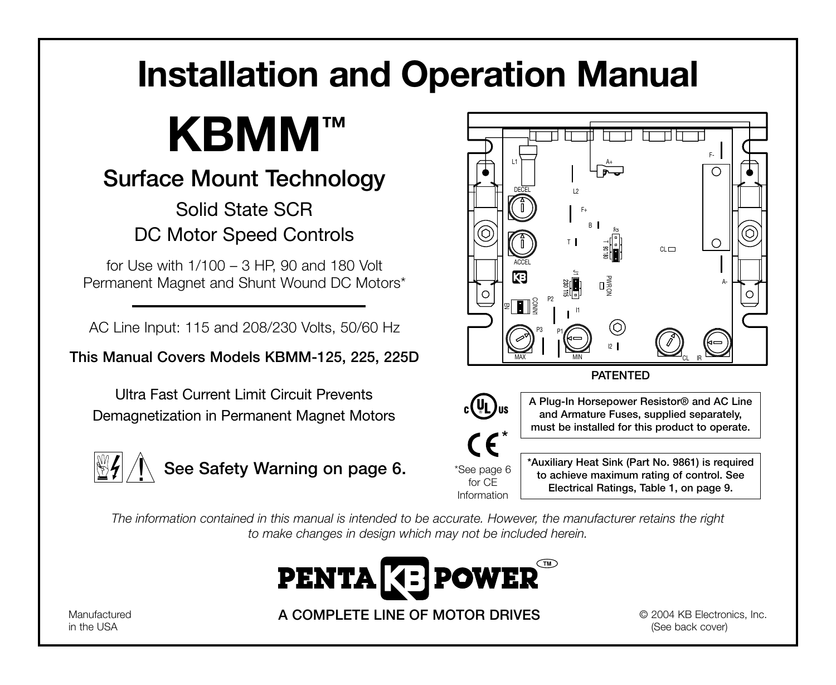# **Installation and Operation Manual**



## **Surface Mount Technology**

## Solid State SCR DC Motor Speed Controls

for Use with 1/100 – 3 HP, 90 and 180 Volt Permanent Magnet and Shunt Wound DC Motors\*

AC Line Input: 115 and 208/230 Volts, 50/60 Hz

**This Manual Covers Models KBMM-125, 225, 225D**

Ultra Fast Current Limit Circuit Prevents Demagnetization in Permanent Magnet Motors





*The information contained in this manual is intended to be accurate. However, the manufacturer retains the right to make changes in design which may not be included herein.*



Manufactured in the USA

**A COMPLETE LINE OF MOTOR DRIVES**

© 2004 KB Electronics, Inc. (See back cover)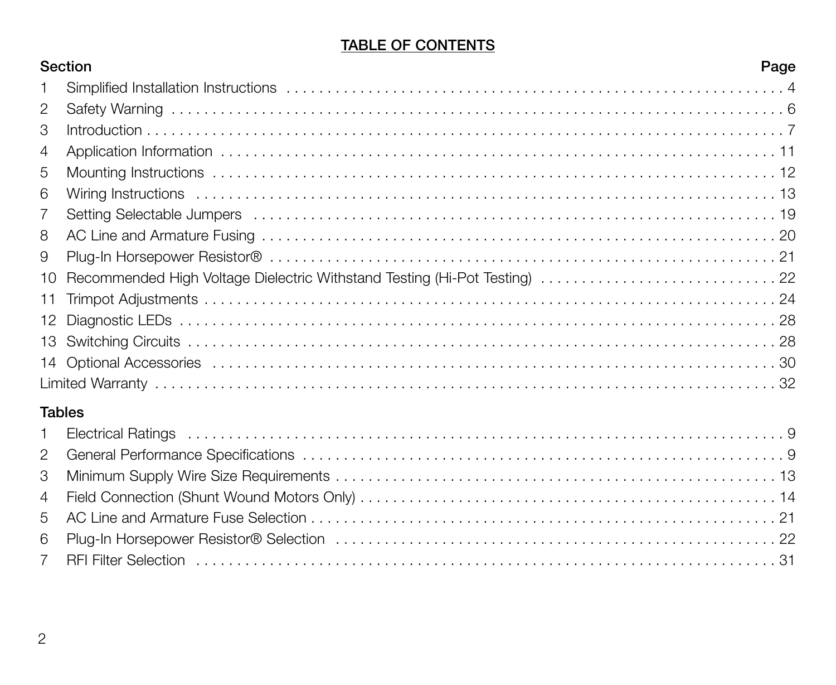## **TABLE OF CONTENTS**

|                | Section                                                                    |  |  |  |  |
|----------------|----------------------------------------------------------------------------|--|--|--|--|
| 1              |                                                                            |  |  |  |  |
| $\mathfrak{p}$ |                                                                            |  |  |  |  |
| 3              |                                                                            |  |  |  |  |
| 4              |                                                                            |  |  |  |  |
| 5              |                                                                            |  |  |  |  |
| 6              |                                                                            |  |  |  |  |
| 7              |                                                                            |  |  |  |  |
| 8              |                                                                            |  |  |  |  |
| 9              |                                                                            |  |  |  |  |
| 10             | Recommended High Voltage Dielectric Withstand Testing (Hi-Pot Testing)  22 |  |  |  |  |
| 11             |                                                                            |  |  |  |  |
| 12             |                                                                            |  |  |  |  |
|                |                                                                            |  |  |  |  |
|                |                                                                            |  |  |  |  |
|                |                                                                            |  |  |  |  |
|                | <b>Tables</b>                                                              |  |  |  |  |
| 1              |                                                                            |  |  |  |  |
| $\mathcal{P}$  |                                                                            |  |  |  |  |
| 3              |                                                                            |  |  |  |  |
| 4              |                                                                            |  |  |  |  |
| 5              |                                                                            |  |  |  |  |
| 6              |                                                                            |  |  |  |  |
| 7              |                                                                            |  |  |  |  |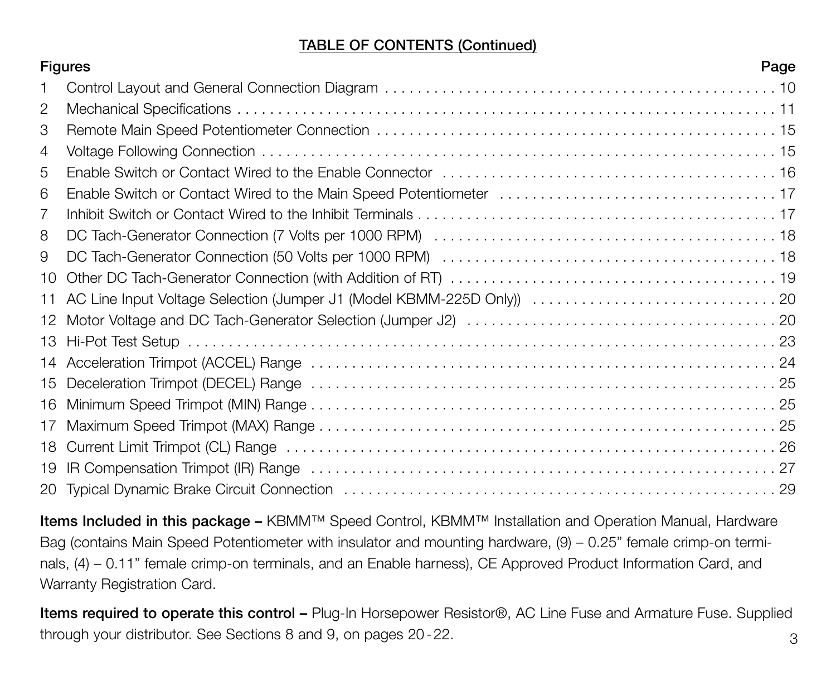## **TABLE OF CONTENTS (Continued)**

|                | <b>Figures</b> | Page |
|----------------|----------------|------|
|                |                |      |
| $\overline{c}$ |                |      |
| 3              |                |      |
| 4              |                |      |
| 5              |                |      |
| 6              |                |      |
| 7              |                |      |
| 8              |                |      |
| 9              |                |      |
| 10             |                |      |
| 11             |                |      |
| 12             |                |      |
|                |                |      |
|                |                |      |
| 15             |                |      |
| 16             |                |      |
| 17             |                |      |
| 18             |                |      |
| 19             |                |      |
|                |                |      |

**Items Included in this package –** KBMM™ Speed Control, KBMM™ Installation and Operation Manual, Hardware Bag (contains Main Speed Potentiometer with insulator and mounting hardware, (9) – 0.25" female crimp-on terminals, (4) – 0.11" female crimp-on terminals, and an Enable harness), CE Approved Product Information Card, and Warranty Registration Card.

**Items required to operate this control –** Plug-In Horsepower Resistor®, AC Line Fuse and Armature Fuse. Supplied through your distributor. See Sections 8 and 9, on pages 20-22.  $\qquad \qquad \qquad$  3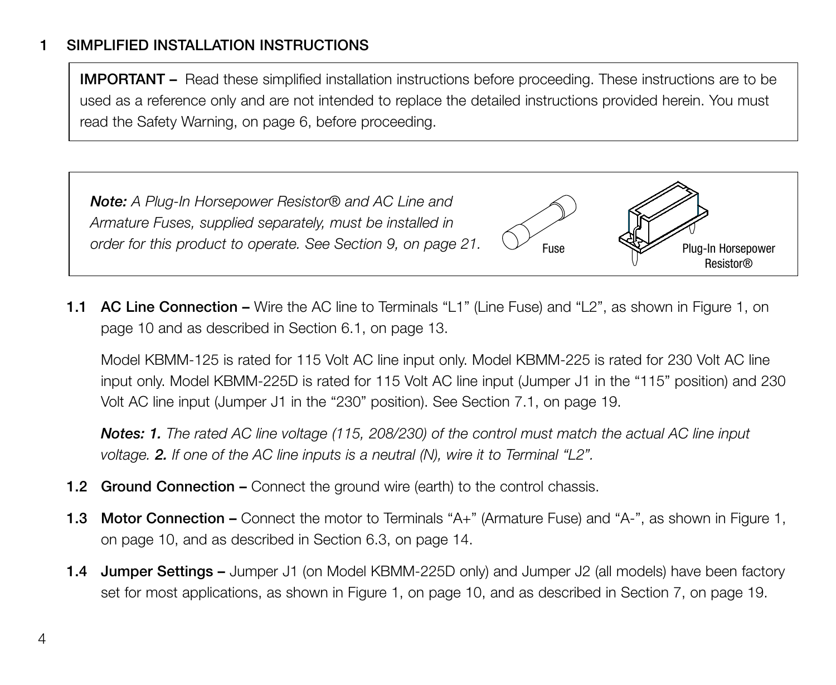## **1 SIMPLIFIED INSTALLATION INSTRUCTIONS**

**IMPORTANT –** Read these simplified installation instructions before proceeding. These instructions are to be used as a reference only and are not intended to replace the detailed instructions provided herein. You must read the Safety Warning, on page 6, before proceeding.



**1.1 AC Line Connection –** Wire the AC line to Terminals "L1" (Line Fuse) and "L2", as shown in Figure 1, on page 10 and as described in Section 6.1, on page 13.

Model KBMM-125 is rated for 115 Volt AC line input only. Model KBMM-225 is rated for 230 Volt AC line input only. Model KBMM-225D is rated for 115 Volt AC line input (Jumper J1 in the "115" position) and 230 Volt AC line input (Jumper J1 in the "230" position). See Section 7.1, on page 19.

*Notes: 1. The rated AC line voltage (115, 208/230) of the control must match the actual AC line input voltage. 2. If one of the AC line inputs is a neutral (N), wire it to Terminal "L2".*

- **1.2 Ground Connection –** Connect the ground wire (earth) to the control chassis.
- **1.3 Motor Connection –** Connect the motor to Terminals "A+" (Armature Fuse) and "A-", as shown in Figure 1, on page 10, and as described in Section 6.3, on page 14.
- **1.4 Jumper Settings –** Jumper J1 (on Model KBMM-225D only) and Jumper J2 (all models) have been factory set for most applications, as shown in Figure 1, on page 10, and as described in Section 7, on page 19.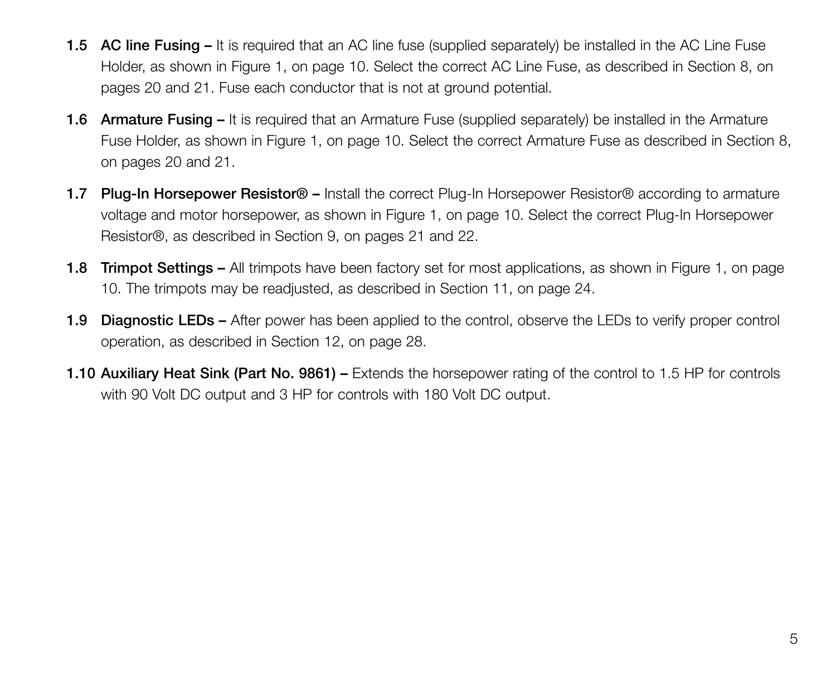- **1.5 AC line Fusing –** It is required that an AC line fuse (supplied separately) be installed in the AC Line Fuse Holder, as shown in Figure 1, on page 10. Select the correct AC Line Fuse, as described in Section 8, on pages 20 and 21. Fuse each conductor that is not at ground potential.
- **1.6 Armature Fusing –** It is required that an Armature Fuse (supplied separately) be installed in the Armature Fuse Holder, as shown in Figure 1, on page 10. Select the correct Armature Fuse as described in Section 8, on pages 20 and 21.
- **1.7 Plug-In Horsepower Resistor® –** Install the correct Plug-In Horsepower Resistor® according to armature voltage and motor horsepower, as shown in Figure 1, on page 10. Select the correct Plug-In Horsepower Resistor®, as described in Section 9, on pages 21 and 22.
- **1.8 Trimpot Settings –** All trimpots have been factory set for most applications, as shown in Figure 1, on page 10. The trimpots may be readjusted, as described in Section 11, on page 24.
- **1.9 Diagnostic LEDs –** After power has been applied to the control, observe the LEDs to verify proper control operation, as described in Section 12, on page 28.
- **1.10 Auxiliary Heat Sink (Part No. 9861) –** Extends the horsepower rating of the control to 1.5 HP for controls with 90 Volt DC output and 3 HP for controls with 180 Volt DC output.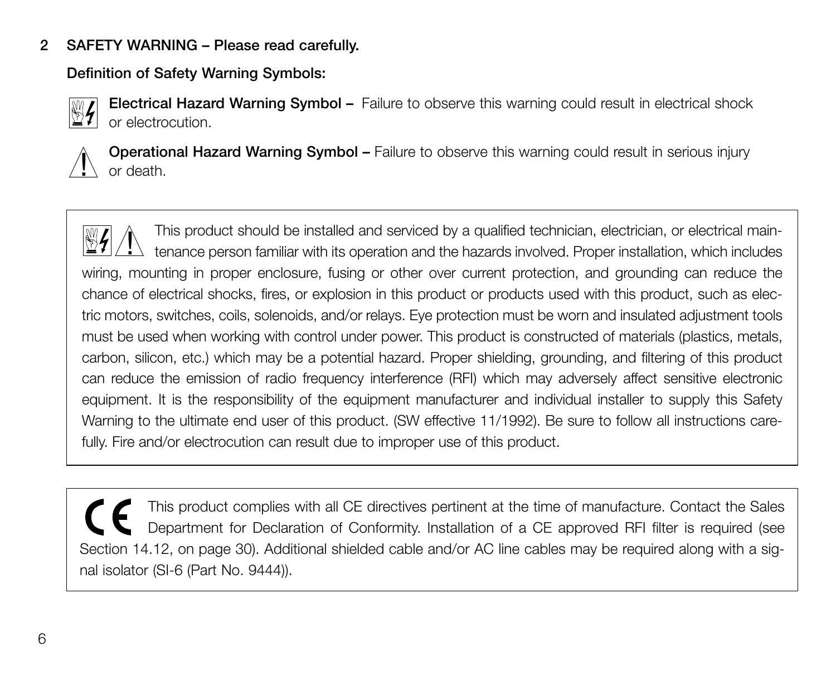## **2 SAFETY WARNING – Please read carefully.**

**Definition of Safety Warning Symbols:**



**Electrical Hazard Warning Symbol –** Failure to observe this warning could result in electrical shock or electrocution.



**Operational Hazard Warning Symbol –** Failure to observe this warning could result in serious injury or death.

This product should be installed and serviced by a qualified technician, electrician, or electrical maintenance person familiar with its operation and the hazards involved. Proper installation, which includes wiring, mounting in proper enclosure, fusing or other over current protection, and grounding can reduce the chance of electrical shocks, fires, or explosion in this product or products used with this product, such as electric motors, switches, coils, solenoids, and/or relays. Eye protection must be worn and insulated adjustment tools must be used when working with control under power. This product is constructed of materials (plastics, metals, carbon, silicon, etc.) which may be a potential hazard. Proper shielding, grounding, and filtering of this product can reduce the emission of radio frequency interference (RFI) which may adversely affect sensitive electronic equipment. It is the responsibility of the equipment manufacturer and individual installer to supply this Safety Warning to the ultimate end user of this product. (SW effective 11/1992). Be sure to follow all instructions carefully. Fire and/or electrocution can result due to improper use of this product.  $\overline{1}$ 

This product complies with all CE directives pertinent at the time of manufacture. Contact the Sales Department for Declaration of Conformity. Installation of a CE approved RFI filter is required (see Section 14.12, on page 30). Additional shielded cable and/or AC line cables may be required along with a signal isolator (SI-6 (Part No. 9444)).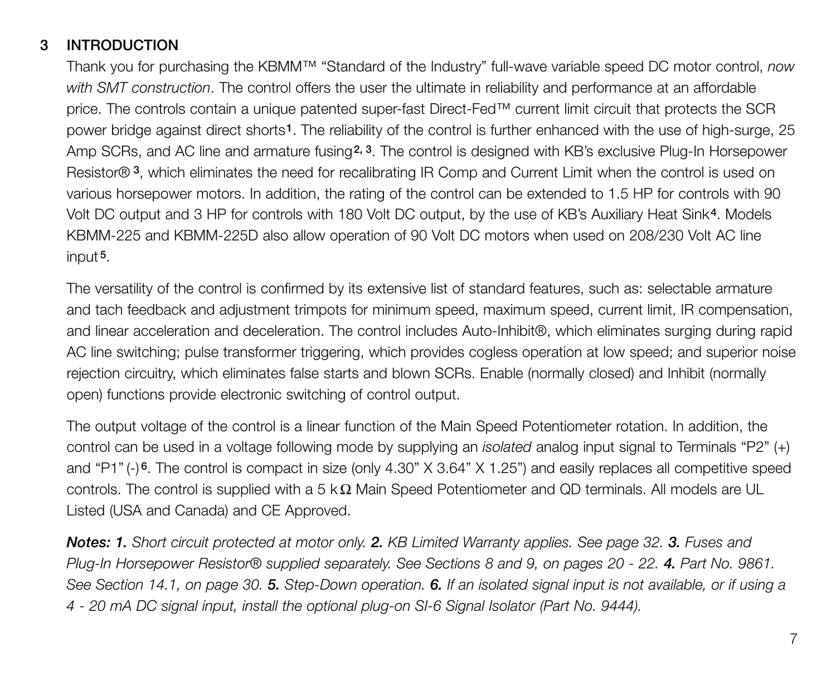## **3 INTRODUCTION**

Thank you for purchasing the KBMM™ "Standard of the Industry" full-wave variable speed DC motor control, *now with SMT construction*. The control offers the user the ultimate in reliability and performance at an affordable price. The controls contain a unique patented super-fast Direct-Fed™ current limit circuit that protects the SCR power bridge against direct shorts**1**. The reliability of the control is further enhanced with the use of high-surge, 25 Amp SCRs, and AC line and armature fusing**2, 3**. The control is designed with KB's exclusive Plug-In Horsepower Resistor® **3**, which eliminates the need for recalibrating IR Comp and Current Limit when the control is used on various horsepower motors. In addition, the rating of the control can be extended to 1.5 HP for controls with 90 Volt DC output and 3 HP for controls with 180 Volt DC output, by the use of KB's Auxiliary Heat Sink**4**. Models KBMM-225 and KBMM-225D also allow operation of 90 Volt DC motors when used on 208/230 Volt AC line input **5**.

The versatility of the control is confirmed by its extensive list of standard features, such as: selectable armature and tach feedback and adjustment trimpots for minimum speed, maximum speed, current limit, IR compensation, and linear acceleration and deceleration. The control includes Auto-Inhibit®, which eliminates surging during rapid AC line switching; pulse transformer triggering, which provides cogless operation at low speed; and superior noise rejection circuitry, which eliminates false starts and blown SCRs. Enable (normally closed) and Inhibit (normally open) functions provide electronic switching of control output.

The output voltage of the control is a linear function of the Main Speed Potentiometer rotation. In addition, the control can be used in a voltage following mode by supplying an *isolated* analog input signal to Terminals "P2" (+) and "P1" (-) **6**. The control is compact in size (only 4.30" X 3.64" X 1.25") and easily replaces all competitive speed controls. The control is supplied with a 5 k $\Omega$  Main Speed Potentiometer and QD terminals. All models are UL Listed (USA and Canada) and CE Approved.

*Notes: 1. Short circuit protected at motor only. 2. KB Limited Warranty applies. See page 32. 3. Fuses and Plug-In Horsepower Resistor® supplied separately. See Sections 8 and 9, on pages 20 - 22. 4. Part No. 9861. See Section 14.1, on page 30. 5. Step-Down operation. 6. If an isolated signal input is not available, or if using a 4 - 20 mA DC signal input, install the optional plug-on SI-6 Signal Isolator (Part No. 9444).*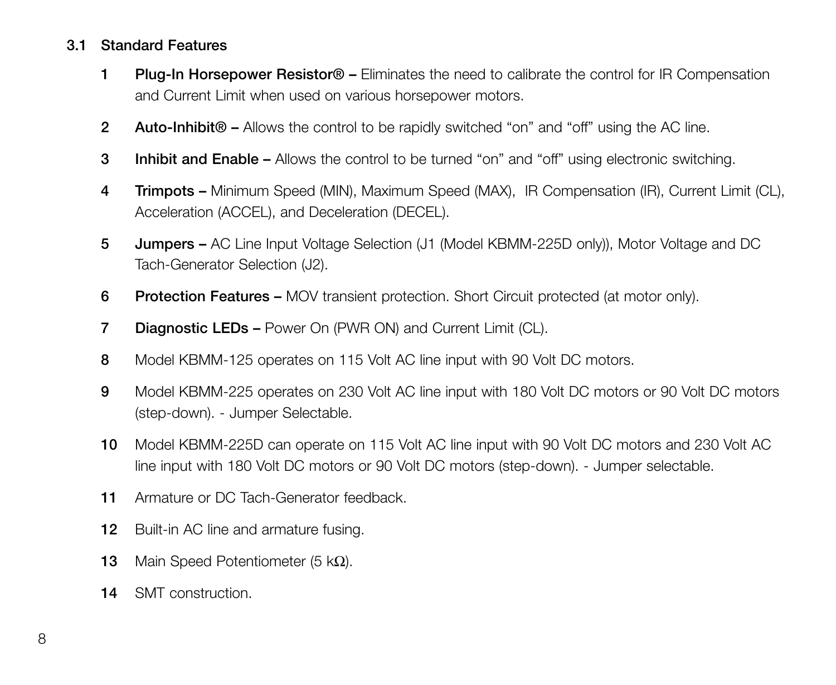## **3.1 Standard Features**

- **1 Plug-In Horsepower Resistor® –** Eliminates the need to calibrate the control for IR Compensation and Current Limit when used on various horsepower motors.
- **2 Auto-Inhibit® –** Allows the control to be rapidly switched "on" and "off" using the AC line.
- **3 Inhibit and Enable –** Allows the control to be turned "on" and "off" using electronic switching.
- **4 Trimpots –** Minimum Speed (MIN), Maximum Speed (MAX), IR Compensation (IR), Current Limit (CL), Acceleration (ACCEL), and Deceleration (DECEL).
- **5 Jumpers –** AC Line Input Voltage Selection (J1 (Model KBMM-225D only)), Motor Voltage and DC Tach-Generator Selection (J2).
- **6 Protection Features –** MOV transient protection. Short Circuit protected (at motor only).
- **7 Diagnostic LEDs –** Power On (PWR ON) and Current Limit (CL).
- **8** Model KBMM-125 operates on 115 Volt AC line input with 90 Volt DC motors.
- **9** Model KBMM-225 operates on 230 Volt AC line input with 180 Volt DC motors or 90 Volt DC motors (step-down). - Jumper Selectable.
- **10** Model KBMM-225D can operate on 115 Volt AC line input with 90 Volt DC motors and 230 Volt AC line input with 180 Volt DC motors or 90 Volt DC motors (step-down). - Jumper selectable.
- **11** Armature or DC Tach-Generator feedback.
- **12** Built-in AC line and armature fusing.
- **13** Main Speed Potentiometer (5 kΩ).
- **14** SMT construction.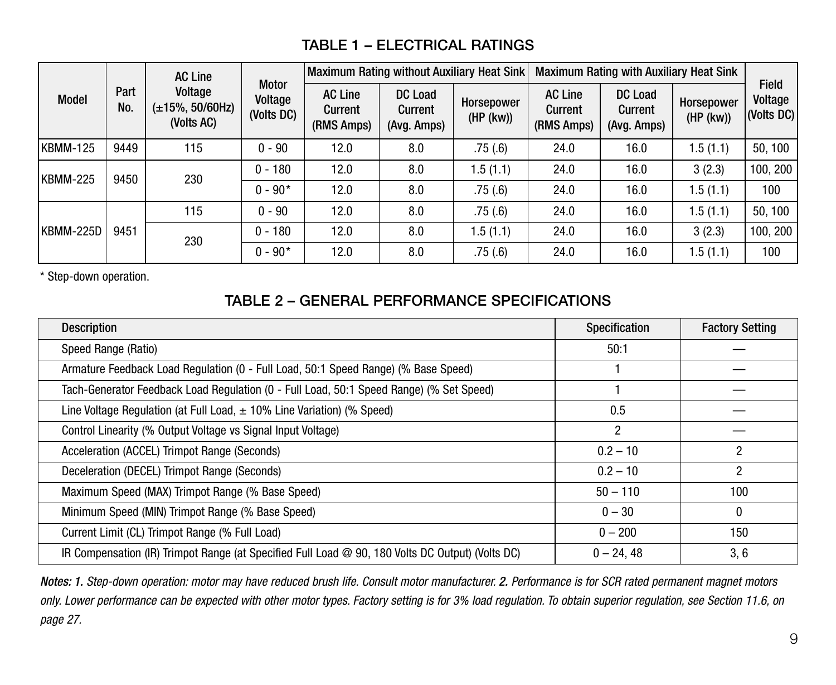## **TABLE 1 – ELECTRICAL RATINGS**

|           | Part<br>No. | <b>AC Line</b><br>Voltage<br>$(\pm 15\%, 50/60$ Hz)<br>(Volts AC) |                                       |                                         |                                          | Maximum Rating without Auxiliary Heat Sink |                                         |                                          | Maximum Rating with Auxiliary Heat Sink |                                |        |
|-----------|-------------|-------------------------------------------------------------------|---------------------------------------|-----------------------------------------|------------------------------------------|--------------------------------------------|-----------------------------------------|------------------------------------------|-----------------------------------------|--------------------------------|--------|
| Model     |             |                                                                   | <b>Motor</b><br>Voltage<br>(Volts DC) | <b>AC Line</b><br>Current<br>(RMS Amps) | <b>DC Load</b><br>Current<br>(Avg. Amps) | Horsepower<br>(HP (kw))                    | <b>AC Line</b><br>Current<br>(RMS Amps) | <b>DC Load</b><br>Current<br>(Avg. Amps) | Horsepower<br>(HP (kw))                 | Field<br>Voltage<br>(Volts DC) |        |
| KBMM-125  | 9449        | 115                                                               | $0 - 90$                              | 12.0                                    | 8.0                                      | .75(.6)                                    | 24.0                                    | 16.0                                     | 1.5(1.1)                                | 50.100                         |        |
| KBMM-225  |             | 9450<br>230                                                       | $0 - 180$                             | 12.0                                    | 8.0                                      | 1.5(1.1)                                   | 24.0                                    | 16.0                                     | 3(2.3)                                  | 100.200                        |        |
|           |             |                                                                   | $0 - 90*$                             | 12.0                                    | 8.0                                      | .75(.6)                                    | 24.0                                    | 16.0                                     | 1.5(1.1)                                | 100                            |        |
|           | 9451        |                                                                   | 115                                   | $0 - 90$                                | 12.0                                     | 8.0                                        | .75(.6)                                 | 24.0                                     | 16.0                                    | 1.5(1.1)                       | 50.100 |
| KBMM-225D |             | 230                                                               | $0 - 180$                             | 12.0                                    | 8.0                                      | 1.5(1.1)                                   | 24.0                                    | 16.0                                     | 3(2.3)                                  | 100.200                        |        |
|           |             |                                                                   |                                       | $0 - 90*$                               | 12.0                                     | 8.0                                        | .75(.6)                                 | 24.0                                     | 16.0                                    | 1.5(1.1)                       | 100    |

\* Step-down operation.

## **TABLE 2 – GENERAL PERFORMANCE SPECIFICATIONS**

| <b>Description</b>                                                                               | Specification  | <b>Factory Setting</b> |
|--------------------------------------------------------------------------------------------------|----------------|------------------------|
| Speed Range (Ratio)                                                                              | 50:1           |                        |
| Armature Feedback Load Regulation (0 - Full Load, 50:1 Speed Range) (% Base Speed)               |                |                        |
| Tach-Generator Feedback Load Regulation (0 - Full Load, 50:1 Speed Range) (% Set Speed)          |                |                        |
| Line Voltage Regulation (at Full Load, $\pm$ 10% Line Variation) (% Speed)                       | 0.5            |                        |
| Control Linearity (% Output Voltage vs Signal Input Voltage)                                     | $\overline{2}$ |                        |
| Acceleration (ACCEL) Trimpot Range (Seconds)                                                     | $0.2 - 10$     |                        |
| Deceleration (DECEL) Trimpot Range (Seconds)                                                     | $0.2 - 10$     | 2                      |
| Maximum Speed (MAX) Trimpot Range (% Base Speed)                                                 | $50 - 110$     | 100                    |
| Minimum Speed (MIN) Trimpot Range (% Base Speed)                                                 | $0 - 30$       | $\Omega$               |
| Current Limit (CL) Trimpot Range (% Full Load)                                                   | $0 - 200$      | 150                    |
| IR Compensation (IR) Trimpot Range (at Specified Full Load @ 90, 180 Volts DC Output) (Volts DC) | $0 - 24.48$    | 3, 6                   |

*Notes: 1. Step-down operation: motor may have reduced brush life. Consult motor manufacturer. 2. Performance is for SCR rated permanent magnet motors only. Lower performance can be expected with other motor types. Factory setting is for 3% load regulation. To obtain superior regulation, see Section 11.6, on page 27.*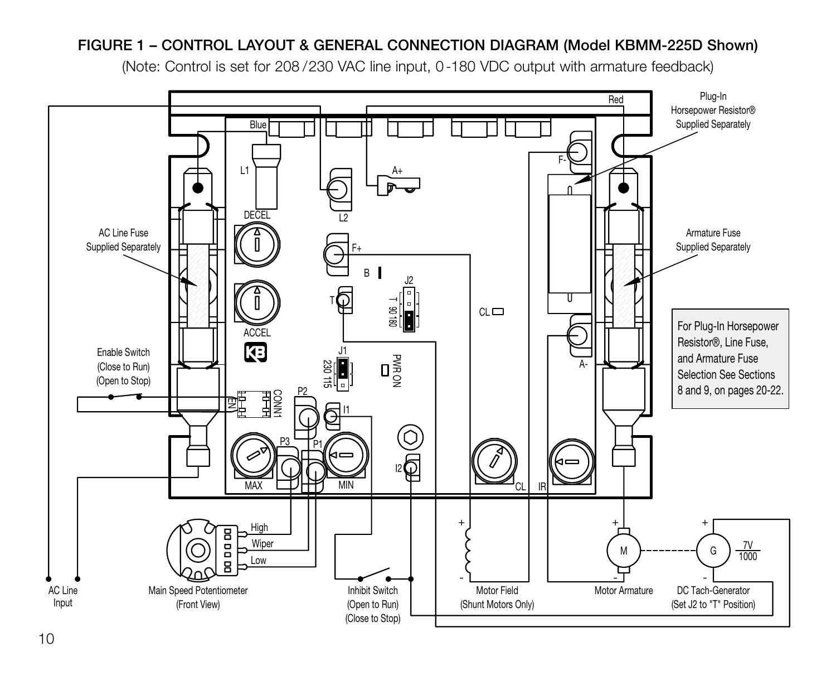## **FIGURE 1 – CONTROL LAYOUT & GENERAL CONNECTION DIAGRAM (Model KBMM-225D Shown)**

(Note: Control is set for 208 / 230 VAC line input, 0 - 180 VDC output with armature feedback)

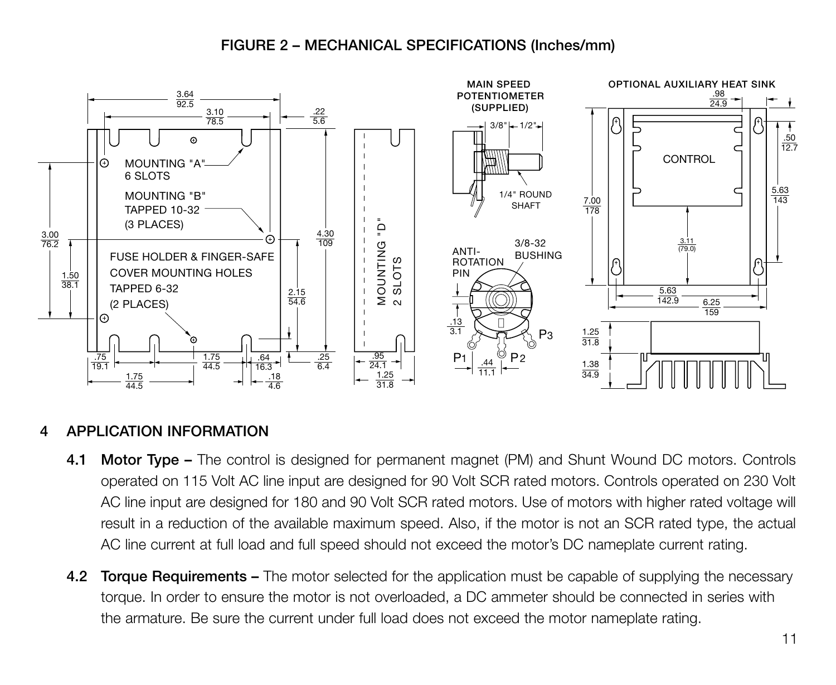## **FIGURE 2 – MECHANICAL SPECIFICATIONS (Inches/mm)**



## **4 APPLICATION INFORMATION**

- **4.1 Motor Type –** The control is designed for permanent magnet (PM) and Shunt Wound DC motors. Controls operated on 115 Volt AC line input are designed for 90 Volt SCR rated motors. Controls operated on 230 Volt AC line input are designed for 180 and 90 Volt SCR rated motors. Use of motors with higher rated voltage will result in a reduction of the available maximum speed. Also, if the motor is not an SCR rated type, the actual AC line current at full load and full speed should not exceed the motor's DC nameplate current rating.
- **4.2 Torque Requirements –** The motor selected for the application must be capable of supplying the necessary torque. In order to ensure the motor is not overloaded, a DC ammeter should be connected in series with the armature. Be sure the current under full load does not exceed the motor nameplate rating.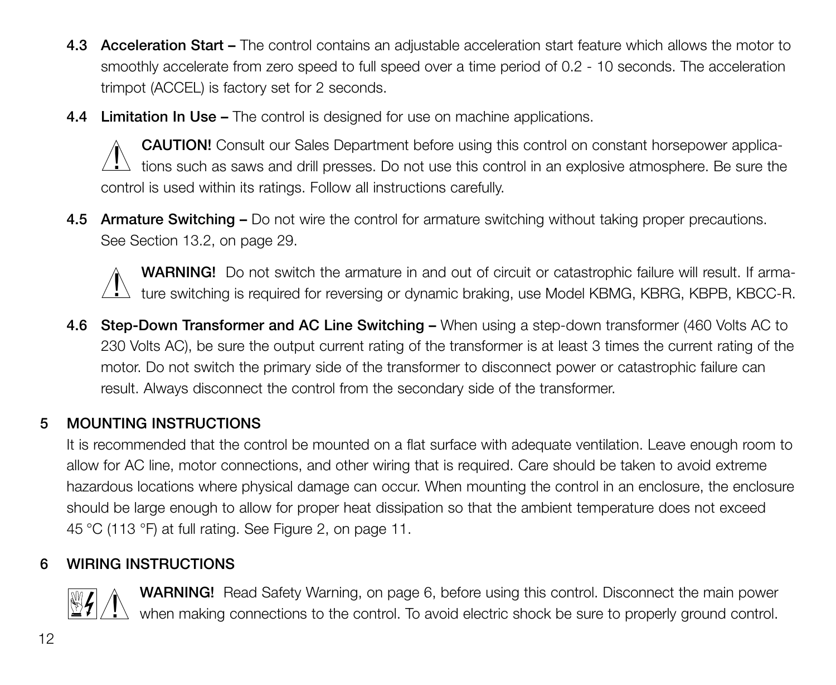- **4.3 Acceleration Start –** The control contains an adjustable acceleration start feature which allows the motor to smoothly accelerate from zero speed to full speed over a time period of 0.2 - 10 seconds. The acceleration trimpot (ACCEL) is factory set for 2 seconds.
- **4.4 Limitation In Use –** The control is designed for use on machine applications.

**CAUTION!** Consult our Sales Department before using this control on constant horsepower applica-CAU HON: CONSUIT OUT Sales Department before using this control on constant norsepower applica-<br>Let tions such as saws and drill presses. Do not use this control in an explosive atmosphere. Be sure the control is used within its ratings. Follow all instructions carefully.

**4.5 Armature Switching –** Do not wire the control for armature switching without taking proper precautions. See Section 13.2, on page 29.



**WARNING!** Do not switch the armature in and out of circuit or catastrophic failure will result. If arma-WARNING! Do not switch the armature in and out of circuit or catastrophic failure will result. If arma-<br>Lettre switching is required for reversing or dynamic braking, use Model KBMG, KBRG, KBPB, KBCC-R.

**4.6 Step-Down Transformer and AC Line Switching –** When using a step-down transformer (460 Volts AC to 230 Volts AC), be sure the output current rating of the transformer is at least 3 times the current rating of the motor. Do not switch the primary side of the transformer to disconnect power or catastrophic failure can result. Always disconnect the control from the secondary side of the transformer.

## **5 MOUNTING INSTRUCTIONS**

It is recommended that the control be mounted on a flat surface with adequate ventilation. Leave enough room to allow for AC line, motor connections, and other wiring that is required. Care should be taken to avoid extreme hazardous locations where physical damage can occur. When mounting the control in an enclosure, the enclosure should be large enough to allow for proper heat dissipation so that the ambient temperature does not exceed 45 °C (113 °F) at full rating. See Figure 2, on page 11.

## **6 WIRING INSTRUCTIONS**



**WARNING!** Read Safety Warning, on page 6, before using this control. Disconnect the main power when making connections to the control. To avoid electric shock be sure to properly ground control.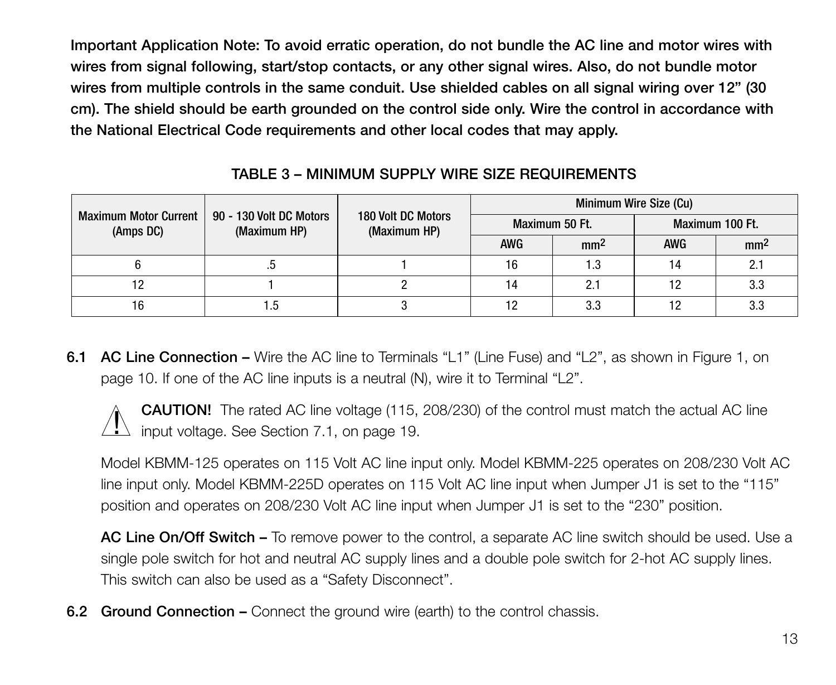**Important Application Note: To avoid erratic operation, do not bundle the AC line and motor wires with wires from signal following, start/stop contacts, or any other signal wires. Also, do not bundle motor wires from multiple controls in the same conduit. Use shielded cables on all signal wiring over 12" (30 cm). The shield should be earth grounded on the control side only. Wire the control in accordance with the National Electrical Code requirements and other local codes that may apply.**

|                                           | 90 - 130 Volt DC Motors<br>(Maximum HP) | 180 Volt DC Motors<br>(Maximum HP) | Minimum Wire Size (Cu) |                 |                 |                 |  |
|-------------------------------------------|-----------------------------------------|------------------------------------|------------------------|-----------------|-----------------|-----------------|--|
| <b>Maximum Motor Current</b><br>(Amps DC) |                                         |                                    | Maximum 50 Ft.         |                 | Maximum 100 Ft. |                 |  |
|                                           |                                         |                                    | <b>AWG</b>             | mm <sup>2</sup> | <b>AWG</b>      | mm <sup>2</sup> |  |
|                                           |                                         |                                    | 16                     | 1.3             | 14              | 2.1             |  |
|                                           |                                         |                                    | 14                     |                 | 12              | 3.3             |  |
| 16                                        | 1.5                                     |                                    | 12                     | 3.3             |                 | 3.3             |  |

**TABLE 3 – MINIMUM SUPPLY WIRE SIZE REQUIREMENTS**

**6.1 AC Line Connection –** Wire the AC line to Terminals "L1" (Line Fuse) and "L2", as shown in Figure 1, on page 10. If one of the AC line inputs is a neutral (N), wire it to Terminal "L2".

**CAUTION!** The rated AC line voltage (115, 208/230) of the control must match the actual AC line **CAUTION:** The rated AC line voltage (115,<br>input voltage. See Section 7.1, on page 19.

Model KBMM-125 operates on 115 Volt AC line input only. Model KBMM-225 operates on 208/230 Volt AC line input only. Model KBMM-225D operates on 115 Volt AC line input when Jumper J1 is set to the "115" position and operates on 208/230 Volt AC line input when Jumper J1 is set to the "230" position.

**AC Line On/Off Switch –** To remove power to the control, a separate AC line switch should be used. Use a single pole switch for hot and neutral AC supply lines and a double pole switch for 2-hot AC supply lines. This switch can also be used as a "Safety Disconnect".

**6.2 Ground Connection –** Connect the ground wire (earth) to the control chassis.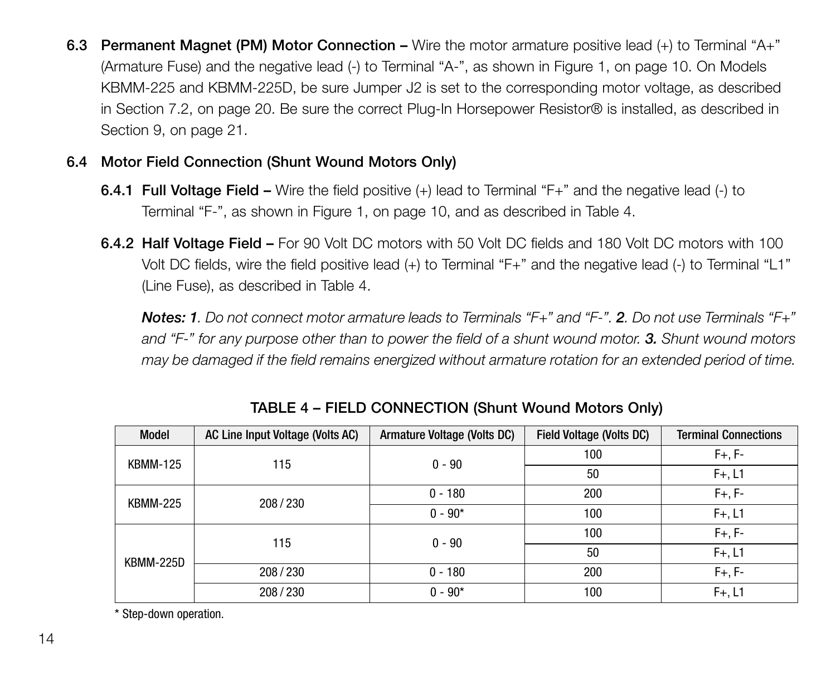**6.3 Permanent Magnet (PM) Motor Connection –** Wire the motor armature positive lead (+) to Terminal "A+" (Armature Fuse) and the negative lead (-) to Terminal "A-", as shown in Figure 1, on page 10. On Models KBMM-225 and KBMM-225D, be sure Jumper J2 is set to the corresponding motor voltage, as described in Section 7.2, on page 20. Be sure the correct Plug-In Horsepower Resistor® is installed, as described in Section 9, on page 21.

## **6.4 Motor Field Connection (Shunt Wound Motors Only)**

- **6.4.1 Full Voltage Field –** Wire the field positive (+) lead to Terminal "F+" and the negative lead (-) to Terminal "F-", as shown in Figure 1, on page 10, and as described in Table 4.
- **6.4.2 Half Voltage Field –** For 90 Volt DC motors with 50 Volt DC fields and 180 Volt DC motors with 100 Volt DC fields, wire the field positive lead (+) to Terminal "F+" and the negative lead (-) to Terminal "L1" (Line Fuse), as described in Table 4.

*Notes: 1. Do not connect motor armature leads to Terminals "F+" and "F-". 2. Do not use Terminals "F+" and "F-" for any purpose other than to power the field of a shunt wound motor. 3. Shunt wound motors may be damaged if the field remains energized without armature rotation for an extended period of time.*

| Model           | AC Line Input Voltage (Volts AC) | Armature Voltage (Volts DC) | <b>Field Voltage (Volts DC)</b> | <b>Terminal Connections</b> |
|-----------------|----------------------------------|-----------------------------|---------------------------------|-----------------------------|
| <b>KBMM-125</b> | 115                              | $0 - 90$                    | 100                             | $F+, F-$                    |
|                 |                                  |                             | 50                              | $F+, L1$                    |
| <b>KBMM-225</b> | 208/230                          | $0 - 180$                   | 200                             | $F+, F-$                    |
|                 |                                  | $0 - 90*$                   | 100                             | $F+, L1$                    |
|                 | 115                              | $0 - 90$                    | 100                             | $F+, F-$                    |
| KBMM-225D       |                                  |                             | 50                              | $F+, L1$                    |
|                 | 208/230                          | $0 - 180$                   | 200                             | $F+, F-$                    |
|                 | 208/230                          | $0 - 90*$                   | 100                             | $F+, L1$                    |

**TABLE 4 – FIELD CONNECTION (Shunt Wound Motors Only)**

\* Step-down operation.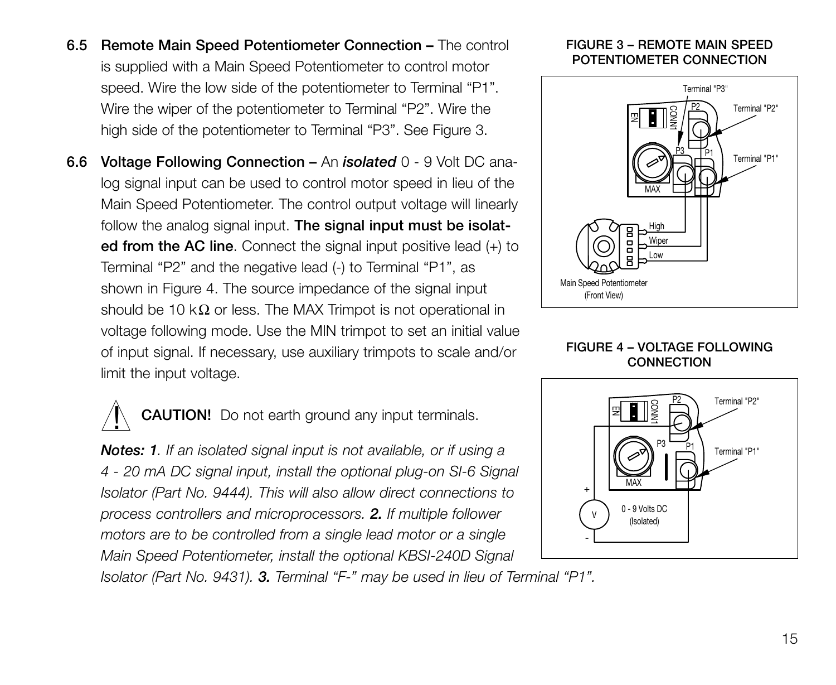- **6.5 Remote Main Speed Potentiometer Connection –** The control is supplied with a Main Speed Potentiometer to control motor speed. Wire the low side of the potentiometer to Terminal "P1". Wire the wiper of the potentiometer to Terminal "P2". Wire the high side of the potentiometer to Terminal "P3". See Figure 3.
- **6.6 Voltage Following Connection –** An *isolated* 0 9 Volt DC analog signal input can be used to control motor speed in lieu of the Main Speed Potentiometer. The control output voltage will linearly follow the analog signal input. **The signal input must be isolated from the AC line**. Connect the signal input positive lead (+) to Terminal "P2" and the negative lead (-) to Terminal "P1", as shown in Figure 4. The source impedance of the signal input should be 10 k $\Omega$  or less. The MAX Trimpot is not operational in voltage following mode. Use the MIN trimpot to set an initial value of input signal. If necessary, use auxiliary trimpots to scale and/or limit the input voltage.

**CAUTION!** Do not earth ground any input terminals.  $\mathbf{I}$ 

*Notes: 1. If an isolated signal input is not available, or if using a 4 - 20 mA DC signal input, install the optional plug-on SI-6 Signal Isolator (Part No. 9444). This will also allow direct connections to process controllers and microprocessors. 2. If multiple follower motors are to be controlled from a single lead motor or a single Main Speed Potentiometer, install the optional KBSI-240D Signal*

*Isolator (Part No. 9431). 3. Terminal "F-" may be used in lieu of Terminal "P1".*

#### **FIGURE 3 – REMOTE MAIN SPEED POTENTIOMETER CONNECTION**



#### **FIGURE 4 – VOLTAGE FOLLOWING CONNECTION**

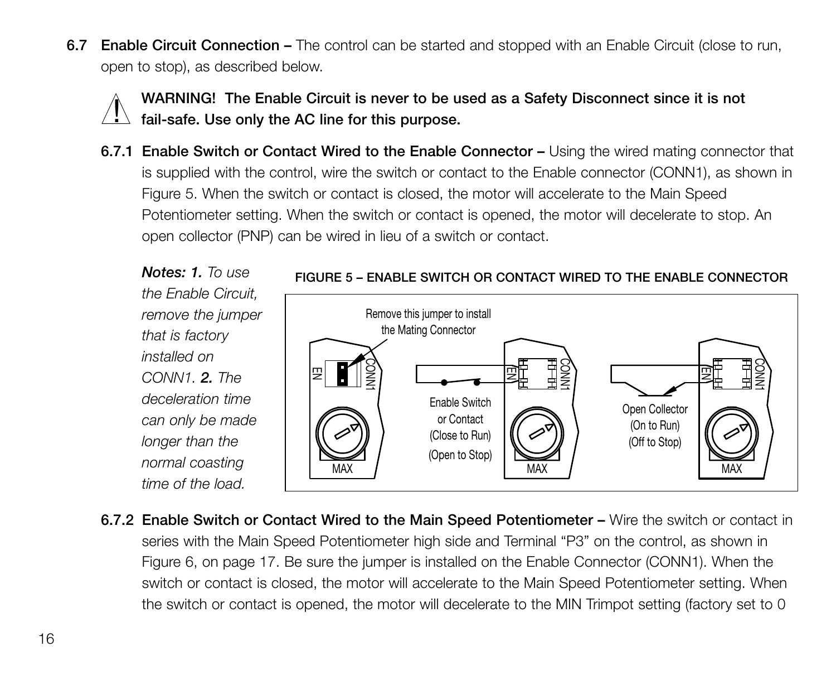**6.7 Enable Circuit Connection –** The control can be started and stopped with an Enable Circuit (close to run, open to stop), as described below.



**WARNING! The Enable Circuit is never to be used as a Safety Disconnect since it is not fail-safe. Use only the AC line for this purpose.**

**6.7.1 Enable Switch or Contact Wired to the Enable Connector –** Using the wired mating connector that is supplied with the control, wire the switch or contact to the Enable connector (CONN1), as shown in Figure 5. When the switch or contact is closed, the motor will accelerate to the Main Speed Potentiometer setting. When the switch or contact is opened, the motor will decelerate to stop. An open collector (PNP) can be wired in lieu of a switch or contact.

*Notes: 1. To use the Enable Circuit, remove the jumper that is factory installed on CONN1. 2. The deceleration time can only be made longer than the normal coasting time of the load.*



#### **FIGURE 5 – ENABLE SWITCH OR CONTACT WIRED TO THE ENABLE CONNECTOR**

**6.7.2 Enable Switch or Contact Wired to the Main Speed Potentiometer –** Wire the switch or contact in series with the Main Speed Potentiometer high side and Terminal "P3" on the control, as shown in Figure 6, on page 17. Be sure the jumper is installed on the Enable Connector (CONN1). When the switch or contact is closed, the motor will accelerate to the Main Speed Potentiometer setting. When the switch or contact is opened, the motor will decelerate to the MIN Trimpot setting (factory set to 0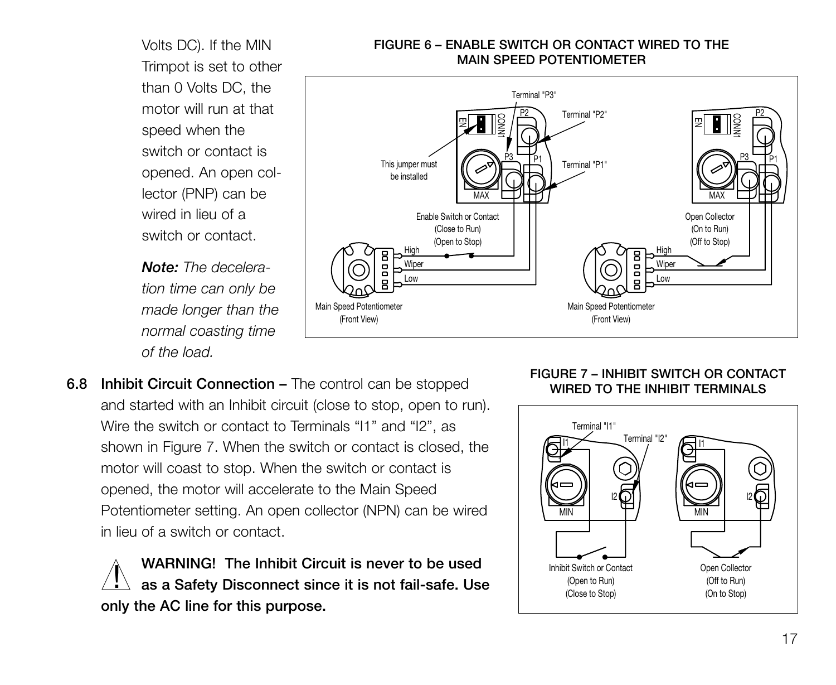Volts DC). If the MIN Trimpot is set to other than 0 Volts DC, the motor will run at that speed when the switch or contact is opened. An open collector (PNP) can be wired in lieu of a switch or contact.

*Note: The deceleration time can only be made longer than the normal coasting time of the load.*

#### **FIGURE 6 – ENABLE SWITCH OR CONTACT WIRED TO THE MAIN SPEED POTENTIOMETER**



**6.8 Inhibit Circuit Connection –** The control can be stopped and started with an Inhibit circuit (close to stop, open to run). Wire the switch or contact to Terminals "I1" and "I2", as shown in Figure 7. When the switch or contact is closed, the motor will coast to stop. When the switch or contact is opened, the motor will accelerate to the Main Speed Potentiometer setting. An open collector (NPN) can be wired in lieu of a switch or contact.

**WARNING! The Inhibit Circuit is never to be used as a Safety Disconnect since it is not fail-safe. Use only the AC line for this purpose.**  $\overline{1}$ 

#### **FIGURE 7 – INHIBIT SWITCH OR CONTACT WIRED TO THE INHIBIT TERMINALS**

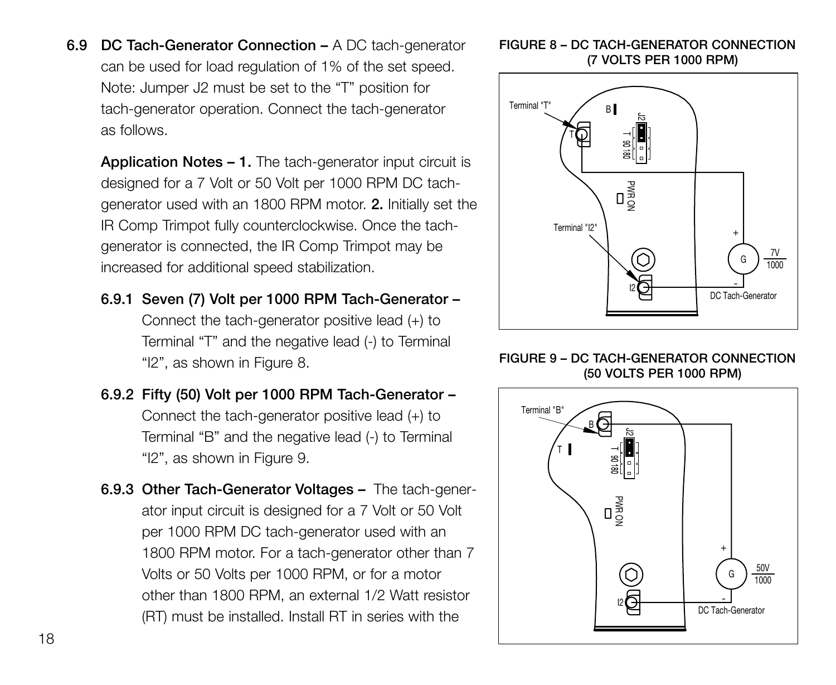**6.9 DC Tach-Generator Connection –** A DC tach-generator can be used for load regulation of 1% of the set speed. Note: Jumper J2 must be set to the "T" position for tach-generator operation. Connect the tach-generator as follows.

**Application Notes – 1.** The tach-generator input circuit is designed for a 7 Volt or 50 Volt per 1000 RPM DC tachgenerator used with an 1800 RPM motor. **2.** Initially set the IR Comp Trimpot fully counterclockwise. Once the tachgenerator is connected, the IR Comp Trimpot may be increased for additional speed stabilization.

- **6.9.1 Seven (7) Volt per 1000 RPM Tach-Generator –** Connect the tach-generator positive lead (+) to Terminal "T" and the negative lead (-) to Terminal "I2", as shown in Figure 8.
- **6.9.2 Fifty (50) Volt per 1000 RPM Tach-Generator –** Connect the tach-generator positive lead (+) to Terminal "B" and the negative lead (-) to Terminal "I2", as shown in Figure 9.
- **6.9.3 Other Tach-Generator Voltages –** The tach-generator input circuit is designed for a 7 Volt or 50 Volt per 1000 RPM DC tach-generator used with an 1800 RPM motor. For a tach-generator other than 7 Volts or 50 Volts per 1000 RPM, or for a motor other than 1800 RPM, an external 1/2 Watt resistor (RT) must be installed. Install RT in series with the

#### **FIGURE 8 – DC TACH-GENERATOR CONNECTION (7 VOLTS PER 1000 RPM)**



#### **FIGURE 9 – DC TACH-GENERATOR CONNECTION (50 VOLTS PER 1000 RPM)**

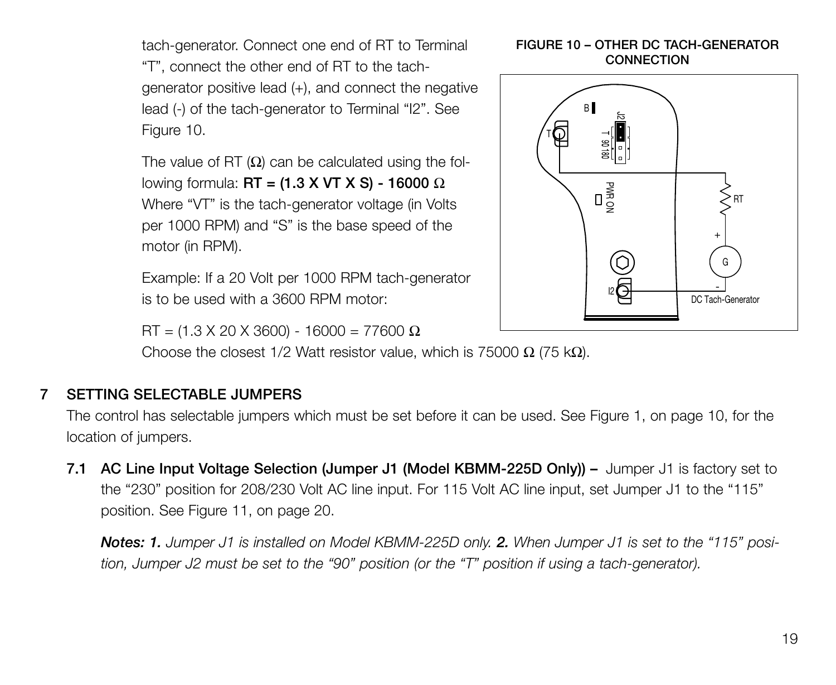tach-generator. Connect one end of RT to Terminal "T", connect the other end of RT to the tachgenerator positive lead (+), and connect the negative lead (-) of the tach-generator to Terminal "I2". See Figure 10.

The value of RT  $(\Omega)$  can be calculated using the following formula: **RT = (1.3 X VT X S) - 16000** Ω Where "VT" is the tach-generator voltage (in Volts per 1000 RPM) and "S" is the base speed of the motor (in RPM).

Example: If a 20 Volt per 1000 RPM tach-generator is to be used with a 3600 RPM motor:

 $RT = (1.3 \times 20 \times 3600) - 16000 = 77600$  Ω

Choose the closest 1/2 Watt resistor value, which is 75000 Ω (75 kΩ).

## **7 SETTING SELECTABLE JUMPERS**

The control has selectable jumpers which must be set before it can be used. See Figure 1, on page 10, for the location of jumpers.

**7.1 AC Line Input Voltage Selection (Jumper J1 (Model KBMM-225D Only)) –** Jumper J1 is factory set to the "230" position for 208/230 Volt AC line input. For 115 Volt AC line input, set Jumper J1 to the "115" position. See Figure 11, on page 20.

*Notes: 1. Jumper J1 is installed on Model KBMM-225D only. 2. When Jumper J1 is set to the "115" position, Jumper J2 must be set to the "90" position (or the "T" position if using a tach-generator).*

#### **FIGURE 10 – OTHER DC TACH-GENERATOR CONNECTION**

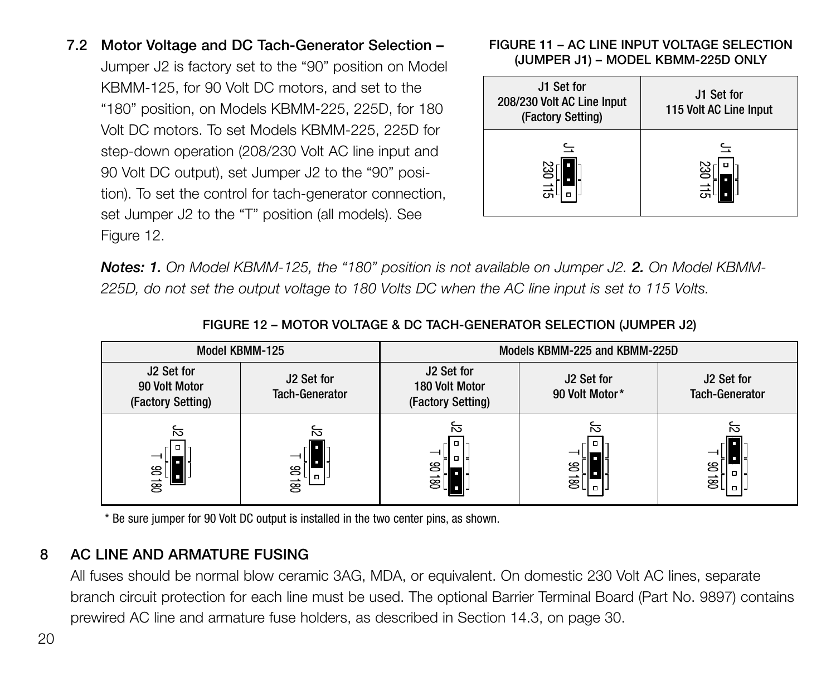**7.2 Motor Voltage and DC Tach-Generator Selection –** Jumper J2 is factory set to the "90" position on Model KBMM-125, for 90 Volt DC motors, and set to the "180" position, on Models KBMM-225, 225D, for 180 Volt DC motors. To set Models KBMM-225, 225D for step-down operation (208/230 Volt AC line input and 90 Volt DC output), set Jumper J2 to the "90" position). To set the control for tach-generator connection, set Jumper J2 to the "T" position (all models). See Figure 12.

#### **FIGURE 11 – AC LINE INPUT VOLTAGE SELECTION (JUMPER J1) – MODEL KBMM-225D ONLY**

| J1 Set for<br>208/230 Volt AC Line Input<br>(Factory Setting) | J1 Set for<br>115 Volt AC Line Input |
|---------------------------------------------------------------|--------------------------------------|
| 230 115                                                       | 느<br>230                             |

**Notes: 1.** On Model KBMM-125, the "180" position is not available on Jumper J2, 2. On Model KBMM-*225D, do not set the output voltage to 180 Volts DC when the AC line input is set to 115 Volts.*

| Model KBMM-125 |                                                  | Models KBMM-225 and KBMM-225D       |                                                   |                              |                                            |
|----------------|--------------------------------------------------|-------------------------------------|---------------------------------------------------|------------------------------|--------------------------------------------|
|                | J2 Set for<br>90 Volt Motor<br>(Factory Setting) | J2 Set for<br><b>Tach-Generator</b> | J2 Set for<br>180 Volt Motor<br>(Factory Setting) | J2 Set for<br>90 Volt Motor* | J2 Set for<br><b>Tach-Generator</b>        |
|                | ਨ<br>g<br>g                                      | ਨ<br>ៜ<br>$\mathbf{a}$<br>≅         | ਨ<br>g<br>ਭ[ਂ∥                                    | ਨ<br>ഋ<br>g                  | ਨ<br>g<br>$\overline{\mathbf{g}}$<br>la 14 |

#### **FIGURE 12 – MOTOR VOLTAGE & DC TACH-GENERATOR SELECTION (JUMPER J2)**

\* Be sure jumper for 90 Volt DC output is installed in the two center pins, as shown.

## **8 AC LINE AND ARMATURE FUSING**

All fuses should be normal blow ceramic 3AG, MDA, or equivalent. On domestic 230 Volt AC lines, separate branch circuit protection for each line must be used. The optional Barrier Terminal Board (Part No. 9897) contains prewired AC line and armature fuse holders, as described in Section 14.3, on page 30.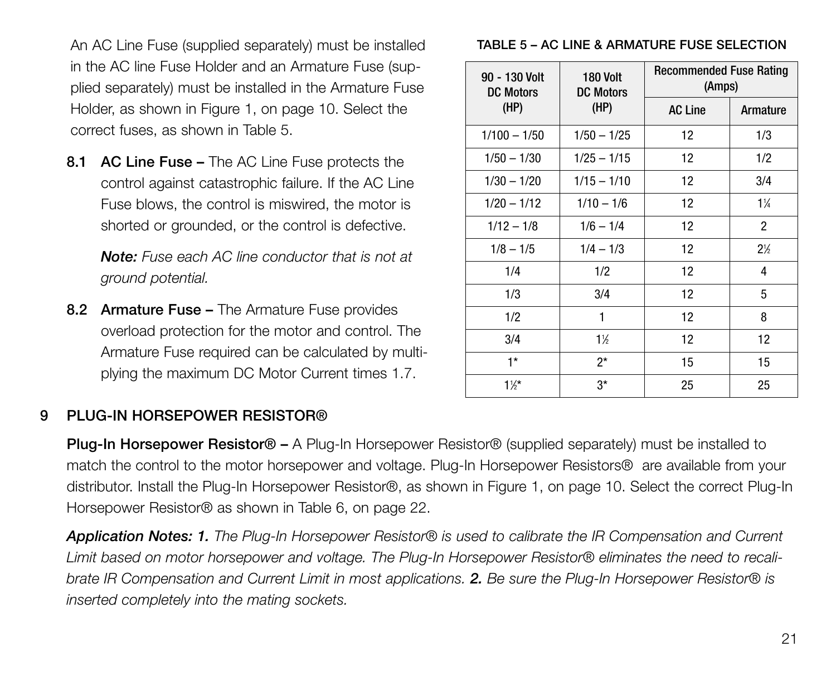An AC Line Fuse (supplied separately) must be installed in the AC line Fuse Holder and an Armature Fuse (supplied separately) must be installed in the Armature Fuse Holder, as shown in Figure 1, on page 10. Select the correct fuses, as shown in Table 5.

**8.1 AC Line Fuse –** The AC Line Fuse protects the control against catastrophic failure. If the AC Line Fuse blows, the control is miswired, the motor is shorted or grounded, or the control is defective.

*Note: Fuse each AC line conductor that is not at ground potential.*

**8.2 Armature Fuse –** The Armature Fuse provides overload protection for the motor and control. The Armature Fuse required can be calculated by multiplying the maximum DC Motor Current times 1.7.

#### **TABLE 5 – AC LINE & ARMATURE FUSE SELECTION**

| 90 - 130 Volt<br><b>DC Motors</b> | 180 Volt<br><b>DC Motors</b> | <b>Recommended Fuse Rating</b><br>(Amps) |                |  |
|-----------------------------------|------------------------------|------------------------------------------|----------------|--|
| (HP)                              | (HP)                         | <b>AC Line</b>                           | Armature       |  |
| $1/100 - 1/50$                    | $1/50 - 1/25$                | 12                                       | 1/3            |  |
| $1/50 - 1/30$                     | $1/25 - 1/15$                | 12                                       | 1/2            |  |
| $1/30 - 1/20$                     | $1/15 - 1/10$                | 12                                       | 3/4            |  |
| $1/20 - 1/12$                     | $1/10 - 1/6$                 | 12                                       | $1\%$          |  |
| $1/12 - 1/8$                      | $1/6 - 1/4$                  | 12                                       | $\overline{c}$ |  |
| $1/8 - 1/5$                       | $1/4 - 1/3$                  | 12                                       | $2\frac{1}{2}$ |  |
| 1/4                               | 1/2                          | 12                                       | 4              |  |
| 1/3                               | 3/4                          | 12                                       | 5              |  |
| 1/2                               | 1                            | 12                                       | 8              |  |
| 3/4                               | $1\%$                        | 12                                       | 12             |  |
| $1*$                              | $2^*$                        | 15                                       | 15             |  |
| $1\frac{1}{2}$                    | $3*$                         | 25                                       | 25             |  |

## **9 PLUG-IN HORSEPOWER RESISTOR®**

**Plug-In Horsepower Resistor® –** A Plug-In Horsepower Resistor® (supplied separately) must be installed to match the control to the motor horsepower and voltage. Plug-In Horsepower Resistors® are available from your distributor. Install the Plug-In Horsepower Resistor®, as shown in Figure 1, on page 10. Select the correct Plug-In Horsepower Resistor® as shown in Table 6, on page 22.

*Application Notes: 1. The Plug-In Horsepower Resistor® is used to calibrate the IR Compensation and Current Limit based on motor horsepower and voltage. The Plug-In Horsepower Resistor® eliminates the need to recalibrate IR Compensation and Current Limit in most applications. 2. Be sure the Plug-In Horsepower Resistor® is inserted completely into the mating sockets.*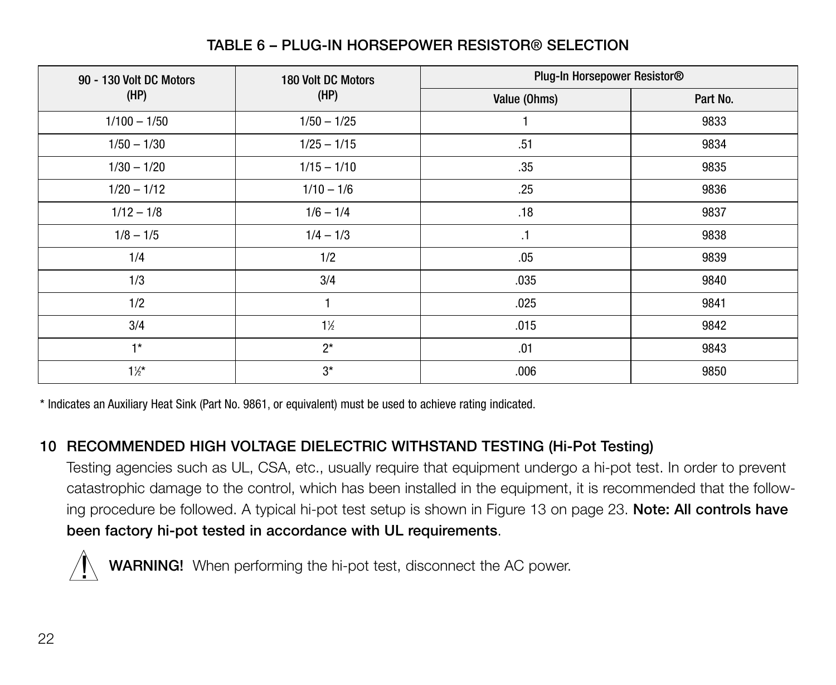| 90 - 130 Volt DC Motors | 180 Volt DC Motors | Plug-In Horsepower Resistor® |          |  |
|-------------------------|--------------------|------------------------------|----------|--|
| (HP)                    | (HP)               | Value (Ohms)                 | Part No. |  |
| $1/100 - 1/50$          | $1/50 - 1/25$      |                              | 9833     |  |
| $1/50 - 1/30$           | $1/25 - 1/15$      | .51                          | 9834     |  |
| $1/30 - 1/20$           | $1/15 - 1/10$      | .35                          | 9835     |  |
| $1/20 - 1/12$           | $1/10 - 1/6$       | .25                          | 9836     |  |
| $1/12 - 1/8$            | $1/6 - 1/4$        | .18                          | 9837     |  |
| $1/8 - 1/5$             | $1/4 - 1/3$        | $\cdot$ 1                    | 9838     |  |
| 1/4                     | 1/2                | .05                          | 9839     |  |
| 1/3                     | 3/4                | .035                         | 9840     |  |
| 1/2                     |                    | .025                         | 9841     |  |
| 3/4                     | $1\%$              | .015                         | 9842     |  |
| $1*$                    | $2^*$              | .01                          | 9843     |  |
| $1\frac{1}{2}$          | $3*$               | .006                         | 9850     |  |

## **TABLE 6 – PLUG-IN HORSEPOWER RESISTOR® SELECTION**

\* Indicates an Auxiliary Heat Sink (Part No. 9861, or equivalent) must be used to achieve rating indicated.

## **10 RECOMMENDED HIGH VOLTAGE DIELECTRIC WITHSTAND TESTING (Hi-Pot Testing)**

Testing agencies such as UL, CSA, etc., usually require that equipment undergo a hi-pot test. In order to prevent catastrophic damage to the control, which has been installed in the equipment, it is recommended that the following procedure be followed. A typical hi-pot test setup is shown in Figure 13 on page 23. **Note: All controls have been factory hi-pot tested in accordance with UL requirements**.



**WARNING!** When performing the hi-pot test, disconnect the AC power.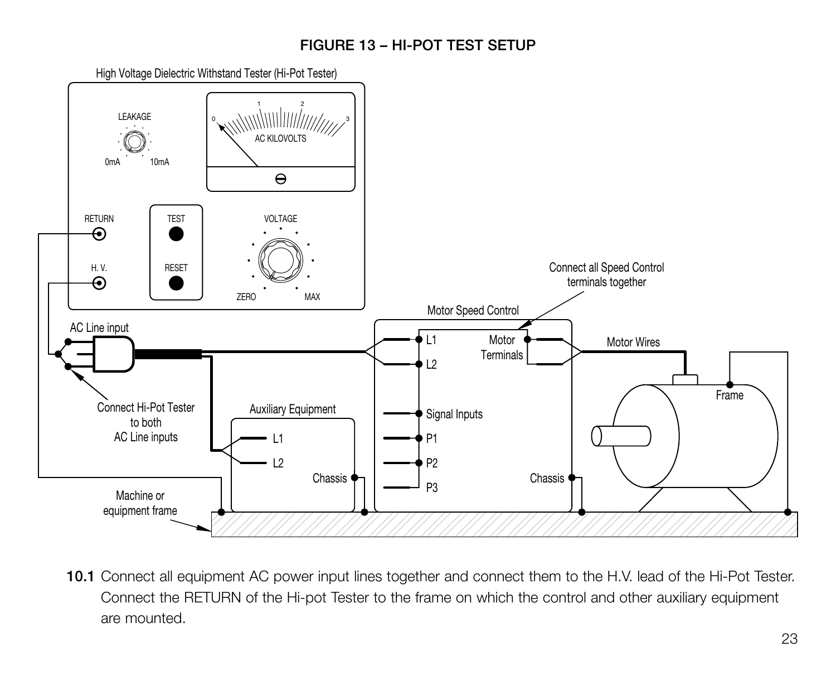## **FIGURE 13 – HI-POT TEST SETUP**



**10.1** Connect all equipment AC power input lines together and connect them to the H.V. lead of the Hi-Pot Tester. Connect the RETURN of the Hi-pot Tester to the frame on which the control and other auxiliary equipment are mounted.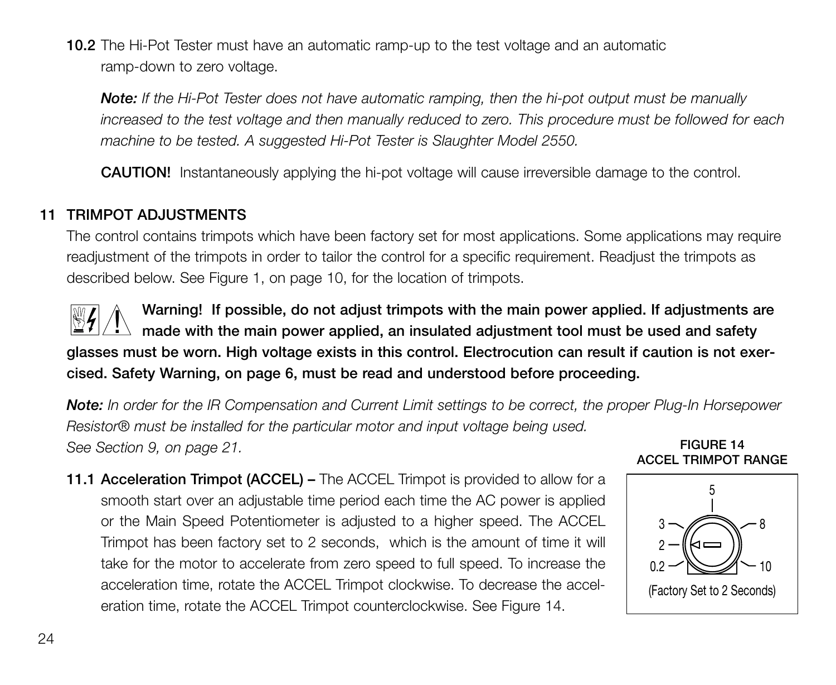**10.2** The Hi-Pot Tester must have an automatic ramp-up to the test voltage and an automatic ramp-down to zero voltage.

*Note: If the Hi-Pot Tester does not have automatic ramping, then the hi-pot output must be manually increased to the test voltage and then manually reduced to zero. This procedure must be followed for each machine to be tested. A suggested Hi-Pot Tester is Slaughter Model 2550.*

**CAUTION!** Instantaneously applying the hi-pot voltage will cause irreversible damage to the control.

## **11 TRIMPOT ADJUSTMENTS**

The control contains trimpots which have been factory set for most applications. Some applications may require readjustment of the trimpots in order to tailor the control for a specific requirement. Readjust the trimpots as described below. See Figure 1, on page 10, for the location of trimpots.

**Warning! If possible, do not adjust trimpots with the main power applied. If adjustments are** warning! If possible, ao not adjust trimpots with the main power applied. If adjustments a<br>In ade with the main power applied, an insulated adjustment tool must be used and safety **glasses must be worn. High voltage exists in this control. Electrocution can result if caution is not exercised. Safety Warning, on page 6, must be read and understood before proceeding.**

*Note: In order for the IR Compensation and Current Limit settings to be correct, the proper Plug-In Horsepower Resistor® must be installed for the particular motor and input voltage being used. See Section 9, on page 21.* **FIGURE 14**

**11.1 Acceleration Trimpot (ACCEL) –** The ACCEL Trimpot is provided to allow for a smooth start over an adjustable time period each time the AC power is applied or the Main Speed Potentiometer is adjusted to a higher speed. The ACCEL Trimpot has been factory set to 2 seconds, which is the amount of time it will take for the motor to accelerate from zero speed to full speed. To increase the acceleration time, rotate the ACCEL Trimpot clockwise. To decrease the acceleration time, rotate the ACCEL Trimpot counterclockwise. See Figure 14.

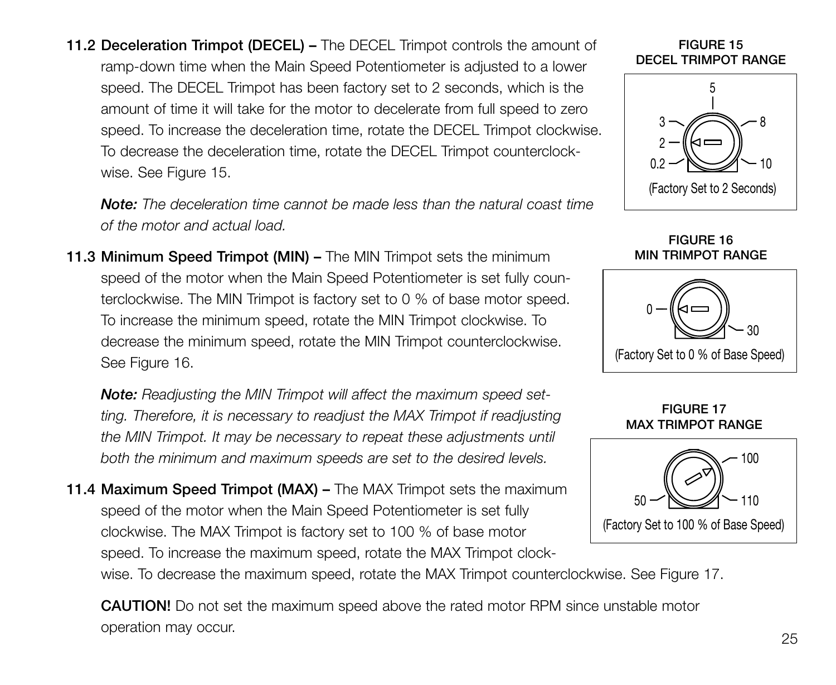**11.2 Deceleration Trimpot (DECEL) –** The DECEL Trimpot controls the amount of ramp-down time when the Main Speed Potentiometer is adjusted to a lower speed. The DECEL Trimpot has been factory set to 2 seconds, which is the amount of time it will take for the motor to decelerate from full speed to zero speed. To increase the deceleration time, rotate the DECEL Trimpot clockwise. To decrease the deceleration time, rotate the DECEL Trimpot counterclockwise. See Figure 15.

*Note: The deceleration time cannot be made less than the natural coast time of the motor and actual load.*

**11.3 Minimum Speed Trimpot (MIN) –** The MIN Trimpot sets the minimum speed of the motor when the Main Speed Potentiometer is set fully counterclockwise. The MIN Trimpot is factory set to 0 % of base motor speed. To increase the minimum speed, rotate the MIN Trimpot clockwise. To decrease the minimum speed, rotate the MIN Trimpot counterclockwise. See Figure 16.

*Note: Readjusting the MIN Trimpot will affect the maximum speed setting. Therefore, it is necessary to readjust the MAX Trimpot if readjusting the MIN Trimpot. It may be necessary to repeat these adjustments until both the minimum and maximum speeds are set to the desired levels.*

**11.4 Maximum Speed Trimpot (MAX) –** The MAX Trimpot sets the maximum speed of the motor when the Main Speed Potentiometer is set fully clockwise. The MAX Trimpot is factory set to 100 % of base motor speed. To increase the maximum speed, rotate the MAX Trimpot clock-

wise. To decrease the maximum speed, rotate the MAX Trimpot counterclockwise. See Figure 17.

**CAUTION!** Do not set the maximum speed above the rated motor RPM since unstable motor operation may occur. <sup>25</sup>

#### **FIGURE 15 DECEL TRIMPOT RANGE**



**FIGURE 16 MIN TRIMPOT RANGE**





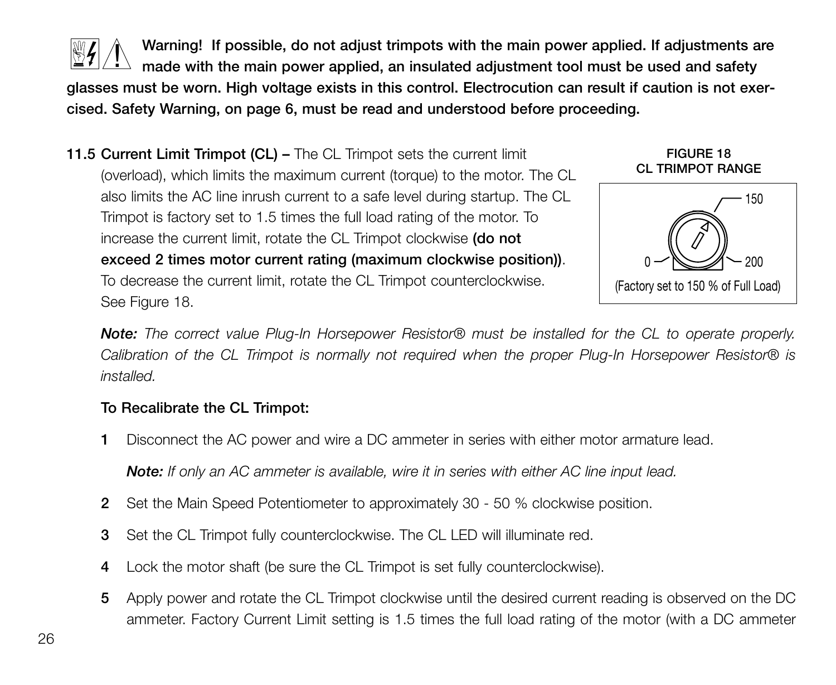

**Warning! If possible, do not adjust trimpots with the main power applied. If adjustments are made with the main power applied, an insulated adjustment tool must be used and safety glasses must be worn. High voltage exists in this control. Electrocution can result if caution is not exercised. Safety Warning, on page 6, must be read and understood before proceeding.**  $\mathbf 1$ 

**11.5 Current Limit Trimpot (CL) –** The CL Trimpot sets the current limit (overload), which limits the maximum current (torque) to the motor. The CL also limits the AC line inrush current to a safe level during startup. The CL Trimpot is factory set to 1.5 times the full load rating of the motor. To increase the current limit, rotate the CL Trimpot clockwise **(do not exceed 2 times motor current rating (maximum clockwise position))**. To decrease the current limit, rotate the CL Trimpot counterclockwise. See Figure 18.

**FIGURE 18 CL TRIMPOT RANGE**



*Note: The correct value Plug-In Horsepower Resistor® must be installed for the CL to operate properly. Calibration of the CL Trimpot is normally not required when the proper Plug-In Horsepower Resistor® is installed.*

## **To Recalibrate the CL Trimpot:**

**1** Disconnect the AC power and wire a DC ammeter in series with either motor armature lead.

*Note: If only an AC ammeter is available, wire it in series with either AC line input lead.*

- **2** Set the Main Speed Potentiometer to approximately 30 50 % clockwise position.
- **3** Set the CL Trimpot fully counterclockwise. The CL LED will illuminate red.
- **4** Lock the motor shaft (be sure the CL Trimpot is set fully counterclockwise).
- **5** Apply power and rotate the CL Trimpot clockwise until the desired current reading is observed on the DC ammeter. Factory Current Limit setting is 1.5 times the full load rating of the motor (with a DC ammeter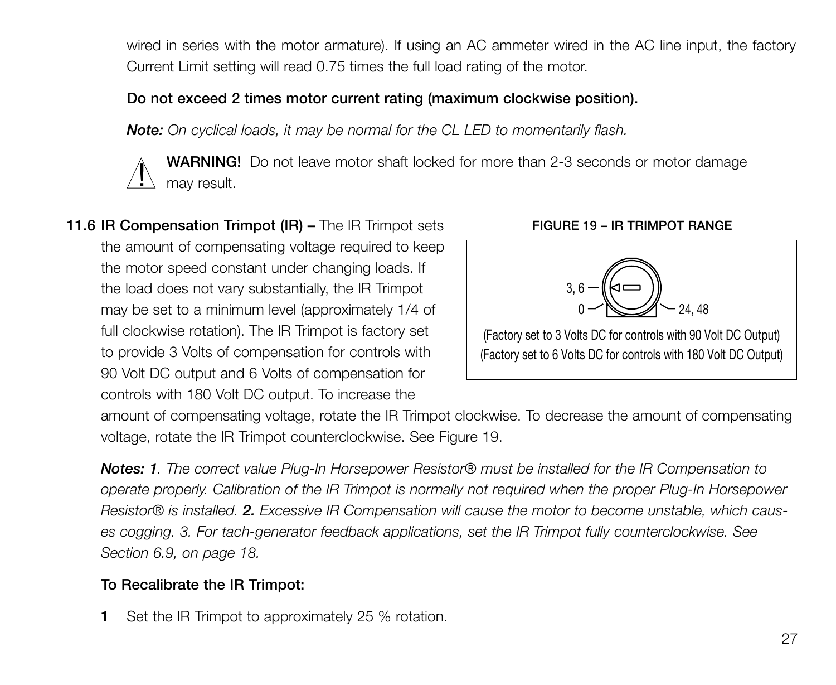wired in series with the motor armature). If using an AC ammeter wired in the AC line input, the factory Current Limit setting will read 0.75 times the full load rating of the motor.

## **Do not exceed 2 times motor current rating (maximum clockwise position).**

*Note: On cyclical loads, it may be normal for the CL LED to momentarily flash.*

**WARNING!** Do not leave motor shaft locked for more than 2-3 seconds or motor damage  $\sum_{\text{may result.}}$ 

**11.6 IR Compensation Trimpot (IR) –** The IR Trimpot sets the amount of compensating voltage required to keep the motor speed constant under changing loads. If the load does not vary substantially, the IR Trimpot may be set to a minimum level (approximately 1/4 of full clockwise rotation). The IR Trimpot is factory set to provide 3 Volts of compensation for controls with 90 Volt DC output and 6 Volts of compensation for controls with 180 Volt DC output. To increase the



**FIGURE 19 – IR TRIMPOT RANGE**

amount of compensating voltage, rotate the IR Trimpot clockwise. To decrease the amount of compensating voltage, rotate the IR Trimpot counterclockwise. See Figure 19.

*Notes: 1. The correct value Plug-In Horsepower Resistor® must be installed for the IR Compensation to operate properly. Calibration of the IR Trimpot is normally not required when the proper Plug-In Horsepower Resistor® is installed. 2. Excessive IR Compensation will cause the motor to become unstable, which causes cogging. 3. For tach-generator feedback applications, set the IR Trimpot fully counterclockwise. See Section 6.9, on page 18.*

## **To Recalibrate the IR Trimpot:**

**1** Set the IR Trimpot to approximately 25 % rotation.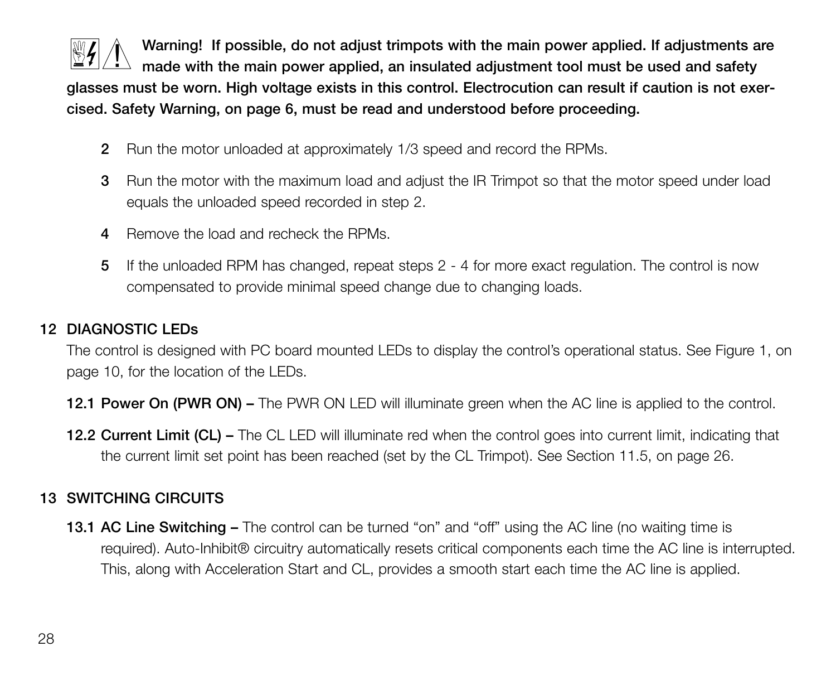

**Warning! If possible, do not adjust trimpots with the main power applied. If adjustments are**  $\perp$  made with the main power applied, an insulated adjustment tool must be used and safety

**glasses must be worn. High voltage exists in this control. Electrocution can result if caution is not exercised. Safety Warning, on page 6, must be read and understood before proceeding.**

- **2** Run the motor unloaded at approximately 1/3 speed and record the RPMs.
- **3** Run the motor with the maximum load and adjust the IR Trimpot so that the motor speed under load equals the unloaded speed recorded in step 2.
- **4** Remove the load and recheck the RPMs.
- **5** If the unloaded RPM has changed, repeat steps 2 4 for more exact regulation. The control is now compensated to provide minimal speed change due to changing loads.

## **12 DIAGNOSTIC LEDs**

The control is designed with PC board mounted LEDs to display the control's operational status. See Figure 1, on page 10, for the location of the LEDs.

- **12.1 Power On (PWR ON) –** The PWR ON LED will illuminate green when the AC line is applied to the control.
- **12.2 Current Limit (CL) –** The CL LED will illuminate red when the control goes into current limit, indicating that the current limit set point has been reached (set by the CL Trimpot). See Section 11.5, on page 26.

## **13 SWITCHING CIRCUITS**

**13.1 AC Line Switching –** The control can be turned "on" and "off" using the AC line (no waiting time is required). Auto-Inhibit® circuitry automatically resets critical components each time the AC line is interrupted. This, along with Acceleration Start and CL, provides a smooth start each time the AC line is applied.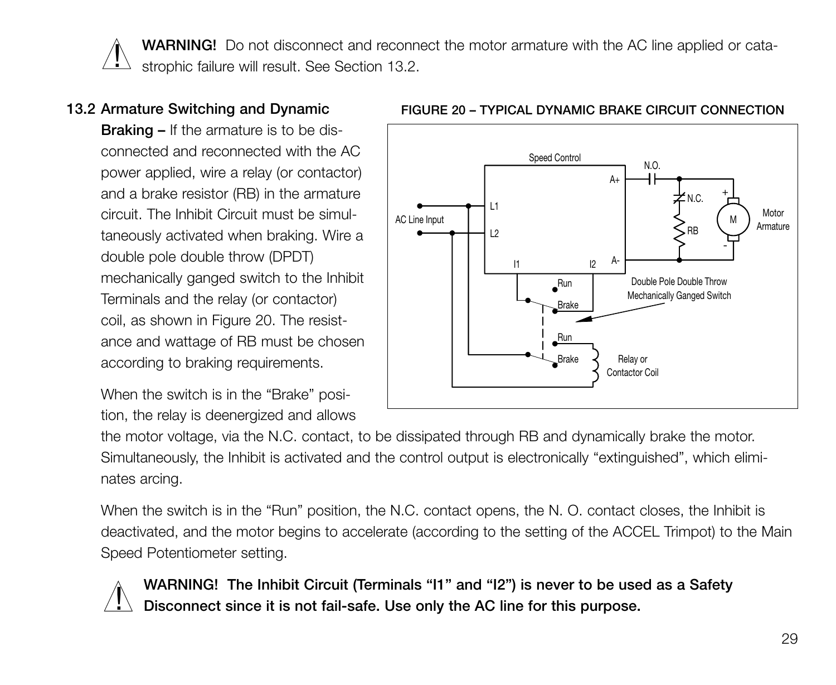**WARNING!** Do not disconnect and reconnect the motor armature with the AC line applied or cata- $\Delta$  strophic failure will result. See Section 13.2.  $\overline{\mathbf{l}}$ 

## **13.2 Armature Switching and Dynamic**

**Braking –** If the armature is to be disconnected and reconnected with the AC power applied, wire a relay (or contactor) and a brake resistor (RB) in the armature circuit. The Inhibit Circuit must be simultaneously activated when braking. Wire a double pole double throw (DPDT) mechanically ganged switch to the Inhibit Terminals and the relay (or contactor) coil, as shown in Figure 20. The resistance and wattage of RB must be chosen according to braking requirements.

When the switch is in the "Brake" position, the relay is deenergized and allows



#### **FIGURE 20 – TYPICAL DYNAMIC BRAKE CIRCUIT CONNECTION**

the motor voltage, via the N.C. contact, to be dissipated through RB and dynamically brake the motor. Simultaneously, the Inhibit is activated and the control output is electronically "extinguished", which eliminates arcing.

When the switch is in the "Run" position, the N.C. contact opens, the N.O. contact closes, the Inhibit is deactivated, and the motor begins to accelerate (according to the setting of the ACCEL Trimpot) to the Main Speed Potentiometer setting.



**WARNING! The Inhibit Circuit (Terminals "I1" and "I2") is never to be used as a Safety Disconnect since it is not fail-safe. Use only the AC line for this purpose.**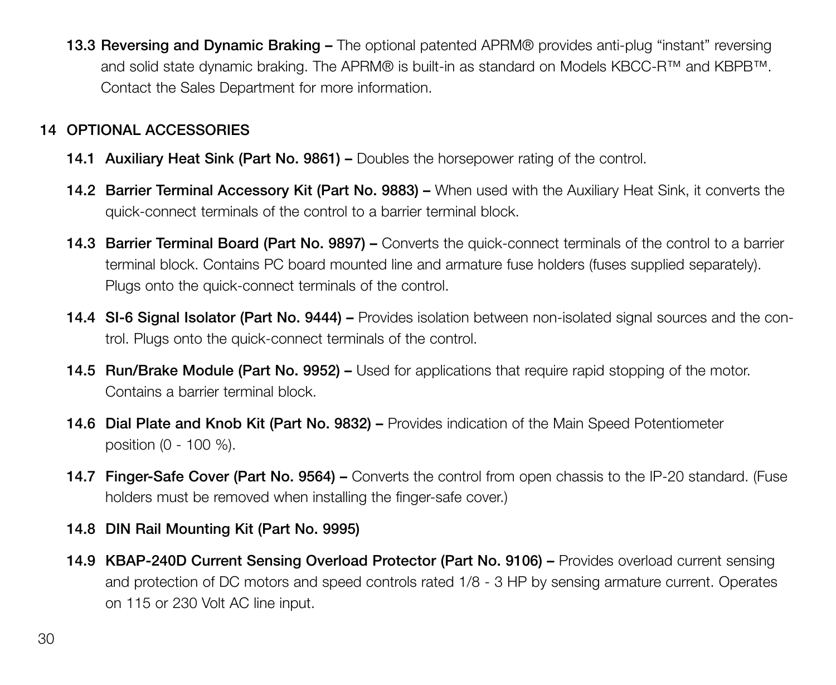**13.3 Reversing and Dynamic Braking –** The optional patented APRM® provides anti-plug "instant" reversing and solid state dynamic braking. The APRM® is built-in as standard on Models KBCC-R™ and KBPB™. Contact the Sales Department for more information.

## **14 OPTIONAL ACCESSORIES**

- **14.1 Auxiliary Heat Sink (Part No. 9861) –** Doubles the horsepower rating of the control.
- **14.2 Barrier Terminal Accessory Kit (Part No. 9883) –** When used with the Auxiliary Heat Sink, it converts the quick-connect terminals of the control to a barrier terminal block.
- **14.3 Barrier Terminal Board (Part No. 9897) –** Converts the quick-connect terminals of the control to a barrier terminal block. Contains PC board mounted line and armature fuse holders (fuses supplied separately). Plugs onto the quick-connect terminals of the control.
- **14.4 SI-6 Signal Isolator (Part No. 9444) –** Provides isolation between non-isolated signal sources and the control. Plugs onto the quick-connect terminals of the control.
- **14.5 Run/Brake Module (Part No. 9952) –** Used for applications that require rapid stopping of the motor. Contains a barrier terminal block.
- **14.6 Dial Plate and Knob Kit (Part No. 9832) –** Provides indication of the Main Speed Potentiometer position (0 - 100 %).
- **14.7 Finger-Safe Cover (Part No. 9564) –** Converts the control from open chassis to the IP-20 standard. (Fuse holders must be removed when installing the finger-safe cover.)
- **14.8 DIN Rail Mounting Kit (Part No. 9995)**
- **14.9 KBAP-240D Current Sensing Overload Protector (Part No. 9106) –** Provides overload current sensing and protection of DC motors and speed controls rated 1/8 - 3 HP by sensing armature current. Operates on 115 or 230 Volt AC line input.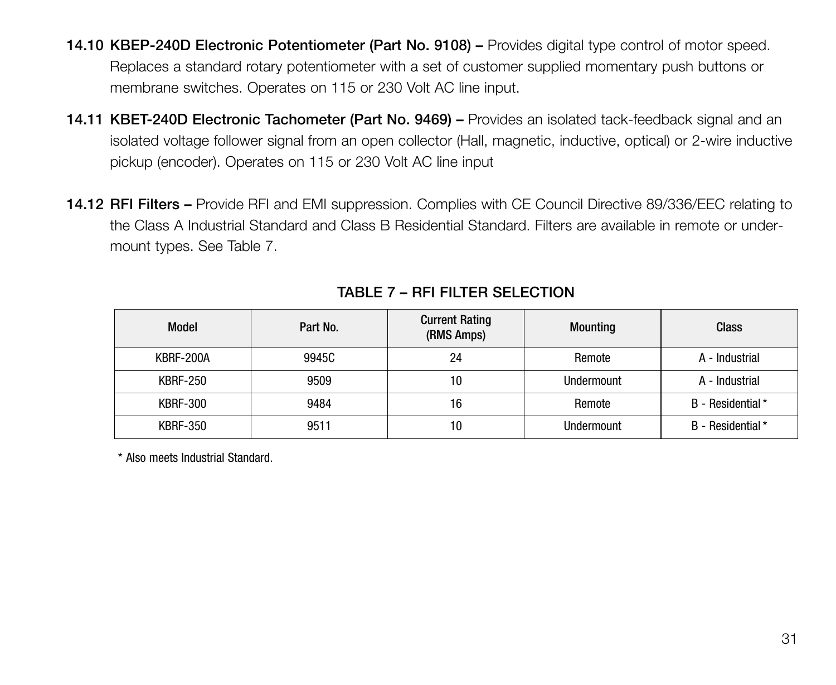- **14.10 KBEP-240D Electronic Potentiometer (Part No. 9108) –** Provides digital type control of motor speed. Replaces a standard rotary potentiometer with a set of customer supplied momentary push buttons or membrane switches. Operates on 115 or 230 Volt AC line input.
- **14.11 KBET-240D Electronic Tachometer (Part No. 9469) –** Provides an isolated tack-feedback signal and an isolated voltage follower signal from an open collector (Hall, magnetic, inductive, optical) or 2-wire inductive pickup (encoder). Operates on 115 or 230 Volt AC line input
- **14.12 RFI Filters –** Provide RFI and EMI suppression. Complies with CE Council Directive 89/336/EEC relating to the Class A Industrial Standard and Class B Residential Standard. Filters are available in remote or undermount types. See Table 7.

| Model           | Part No. | <b>Current Rating</b><br>(RMS Amps) | <b>Mounting</b> | Class            |
|-----------------|----------|-------------------------------------|-----------------|------------------|
| KBRF-200A       | 9945C    | 24                                  | Remote          | A - Industrial   |
| <b>KBRF-250</b> | 9509     | 10                                  | Undermount      | A - Industrial   |
| <b>KBRF-300</b> | 9484     | 16                                  | Remote          | B - Residential* |
| <b>KBRF-350</b> | 9511     | 10                                  | Undermount      | B - Residential* |

## **TABLE 7 – RFI FILTER SELECTION**

\* Also meets Industrial Standard.